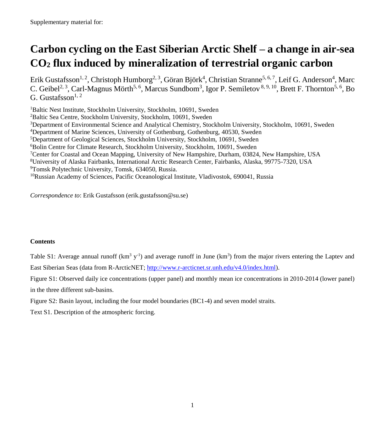## **Carbon cycling on the East Siberian Arctic Shelf – a change in air-sea CO<sup>2</sup> flux induced by mineralization of terrestrial organic carbon**

Erik Gustafsson<sup>1, 2</sup>, Christoph Humborg<sup>2, 3</sup>, Göran Björk<sup>4</sup>, Christian Stranne<sup>5, 6, 7</sup>, Leif G. Anderson<sup>4</sup>, Marc C. Geibel<sup>2, 3</sup>, Carl-Magnus Mörth<sup>5, 6</sup>, Marcus Sundbom<sup>3</sup>, Igor P. Semiletov <sup>8, 9, 10</sup>, Brett F. Thornton<sup>5, 6</sup>, Bo G. Gustafsson $^{1,2}$ 

<sup>1</sup>Baltic Nest Institute, Stockholm University, Stockholm, 10691, Sweden Baltic Sea Centre, Stockholm University, Stockholm, 10691, Sweden Department of Environmental Science and Analytical Chemistry, Stockholm University, Stockholm, 10691, Sweden Department of Marine Sciences, University of Gothenburg, Gothenburg, 40530, Sweden Department of Geological Sciences, Stockholm University, Stockholm, 10691, Sweden Bolin Centre for Climate Research, Stockholm University, Stockholm, 10691, Sweden Center for Coastal and Ocean Mapping, University of New Hampshire, Durham, 03824, New Hampshire, USA University of Alaska Fairbanks, International Arctic Research Center, Fairbanks, Alaska, 99775-7320, USA Tomsk Polytechnic University, Tomsk, 634050, Russia. <sup>10</sup>Russian Academy of Sciences, Pacific Oceanological Institute, Vladivostok, 690041, Russia

*Correspondence to*: Erik Gustafsson (erik.gustafsson@su.se)

## **Contents**

Table S1: Average annual runoff  $(km^3 y^{-1})$  and average runoff in June  $(km^3)$  from the major rivers entering the Laptev and East Siberian Seas (data from R-ArcticNET; [http://www.r-arcticnet.sr.unh.edu/v4.0/index.html\)](http://www.r-arcticnet.sr.unh.edu/v4.0/index.html).

Figure S1: Observed daily ice concentrations (upper panel) and monthly mean ice concentrations in 2010-2014 (lower panel) in the three different sub-basins.

Figure S2: Basin layout, including the four model boundaries (BC1-4) and seven model straits.

Text S1. Description of the atmospheric forcing.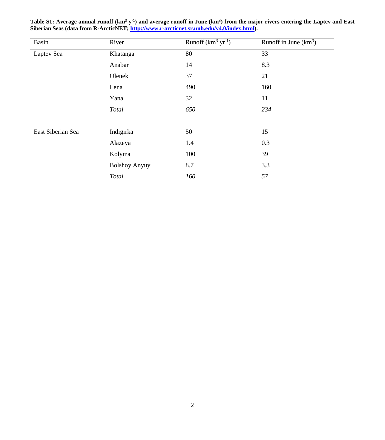| Basin             | River                | Runoff $(km3 yr-1)$ | Runoff in June $(km^3)$ |
|-------------------|----------------------|---------------------|-------------------------|
| Laptev Sea        | Khatanga             | 80                  | 33                      |
|                   | Anabar               | 14                  | 8.3                     |
|                   | Olenek               | 37                  | 21                      |
|                   | Lena                 | 490                 | 160                     |
|                   | Yana                 | 32                  | 11                      |
|                   | Total                | 650                 | 234                     |
|                   |                      |                     |                         |
| East Siberian Sea | Indigirka            | 50                  | 15                      |
|                   | Alazeya              | 1.4                 | 0.3                     |
|                   | Kolyma               | 100                 | 39                      |
|                   | <b>Bolshoy Anyuy</b> | 8.7                 | 3.3                     |
|                   | Total                | 160                 | 57                      |

Table S1: Average annual runoff (km<sup>3</sup> y<sup>-1</sup>) and average runoff in June (km<sup>3</sup>) from the major rivers entering the Laptev and East **Siberian Seas (data from R-ArcticNET[; http://www.r-arcticnet.sr.unh.edu/v4.0/index.html\)](http://www.r-arcticnet.sr.unh.edu/v4.0/index.html).**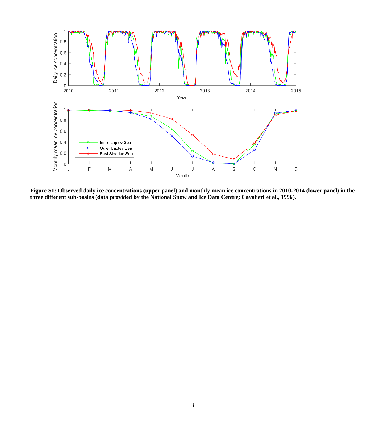

**Figure S1: Observed daily ice concentrations (upper panel) and monthly mean ice concentrations in 2010-2014 (lower panel) in the three different sub-basins (data provided by the National Snow and Ice Data Centre; Cavalieri et al., 1996).**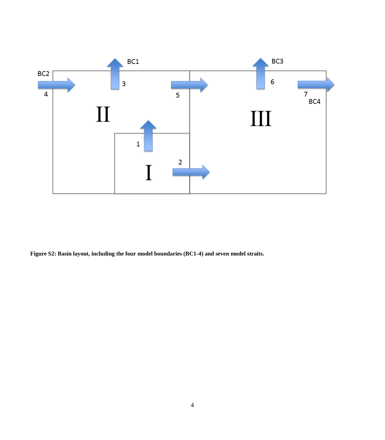

**Figure S2: Basin layout, including the four model boundaries (BC1-4) and seven model straits.**